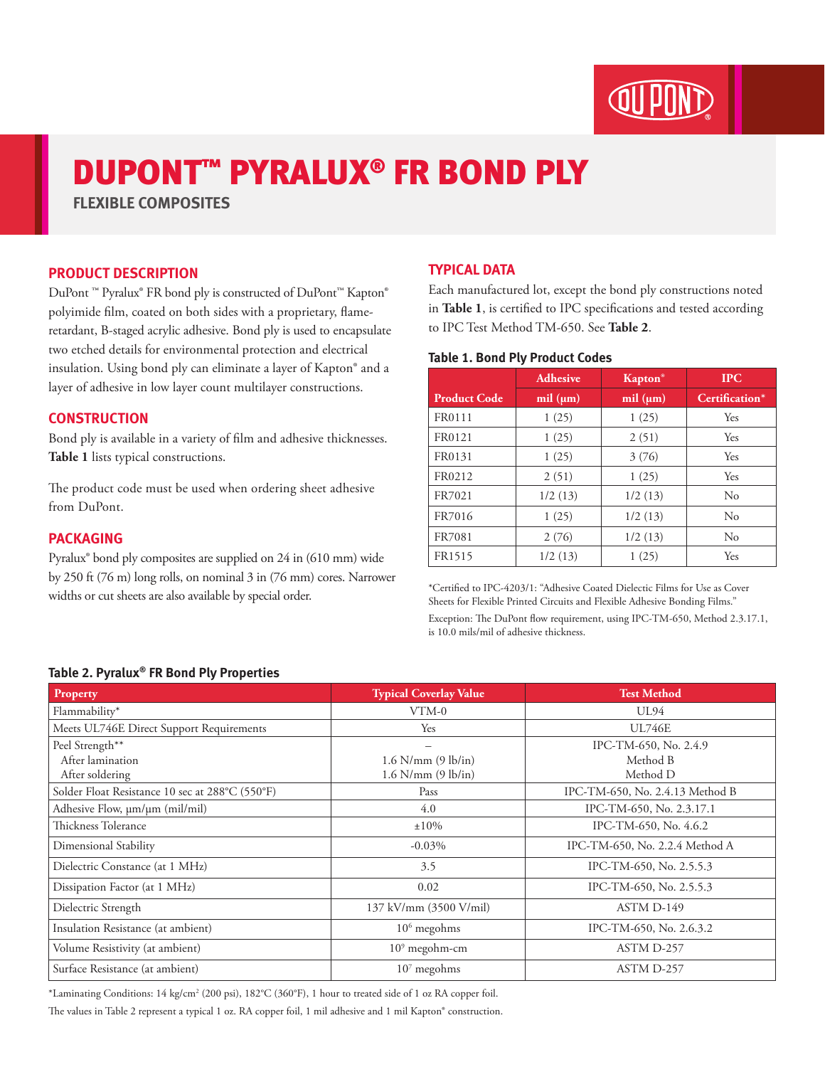

# DUPONT™ PYRALUX® FR BOND PLY

**FLEXIBLE COMPOSITES**

# **PRODUCT DESCRIPTION**

DuPont ™ Pyralux® FR bond ply is constructed of DuPont™ Kapton® polyimide film, coated on both sides with a proprietary, flameretardant, B-staged acrylic adhesive. Bond ply is used to encapsulate two etched details for environmental protection and electrical insulation. Using bond ply can eliminate a layer of Kapton® and a layer of adhesive in low layer count multilayer constructions.

## **CONSTRUCTION**

Bond ply is available in a variety of film and adhesive thicknesses. **Table 1** lists typical constructions.

The product code must be used when ordering sheet adhesive from DuPont.

#### **PACKAGING**

Pyralux® bond ply composites are supplied on 24 in (610 mm) wide by 250 ft (76 m) long rolls, on nominal 3 in (76 mm) cores. Narrower widths or cut sheets are also available by special order.

# **TYPICAL DATA**

Each manufactured lot, except the bond ply constructions noted in **Table 1**, is certified to IPC specifications and tested according to IPC Test Method TM-650. See **Table 2**.

#### **Table 1. Bond Ply Product Codes**

|                     | <b>Adhesive</b> | <b>Kapton</b> <sup>®</sup> | <b>IPC</b>     |
|---------------------|-----------------|----------------------------|----------------|
| <b>Product Code</b> | mil $(\mu m)$   | mil $(\mu m)$              | Certification* |
| FR0111              | 1(25)           | 1(25)                      | Yes            |
| FR0121              | 1(25)           | 2(51)                      | Yes            |
| FR0131              | 1(25)           | 3(76)                      | Yes            |
| FR0212              | 2(51)           | 1(25)                      | Yes            |
| FR7021              | 1/2(13)         | 1/2(13)                    | No             |
| FR7016              | 1(25)           | 1/2(13)                    | $\rm No$       |
| FR7081              | 2(76)           | 1/2(13)                    | No             |
| FR1515              | 1/2(13)         | 1(25)                      | Yes            |

\*Certified to IPC-4203/1: "Adhesive Coated Dielectic Films for Use as Cover Sheets for Flexible Printed Circuits and Flexible Adhesive Bonding Films." Exception: The DuPont flow requirement, using IPC-TM-650, Method 2.3.17.1, is 10.0 mils/mil of adhesive thickness.

### **Table 2. Pyralux® FR Bond Ply Properties**

| Property                                        | <b>Typical Coverlay Value</b> | <b>Test Method</b>              |
|-------------------------------------------------|-------------------------------|---------------------------------|
| Flammability*                                   | $VTM-0$                       | UL94                            |
| Meets UL746E Direct Support Requirements        | Yes                           | <b>UL746E</b>                   |
| Peel Strength**                                 |                               | IPC-TM-650, No. 2.4.9           |
| After lamination                                | $1.6$ N/mm $(9$ lb/in)        | Method B                        |
| After soldering                                 | $1.6$ N/mm $(9$ lb/in)        | Method D                        |
| Solder Float Resistance 10 sec at 288°C (550°F) | Pass                          | IPC-TM-650, No. 2.4.13 Method B |
| Adhesive Flow, $\mu$ m/ $\mu$ m (mil/mil)       | 4.0                           | IPC-TM-650, No. 2.3.17.1        |
| Thickness Tolerance                             | $\pm 10\%$                    | IPC-TM-650, No. 4.6.2           |
| Dimensional Stability                           | $-0.03\%$                     | IPC-TM-650, No. 2.2.4 Method A  |
| Dielectric Constance (at 1 MHz)                 | 3.5                           | IPC-TM-650, No. 2.5.5.3         |
| Dissipation Factor (at 1 MHz)                   | 0.02                          | IPC-TM-650, No. 2.5.5.3         |
| Dielectric Strength                             | 137 kV/mm (3500 V/mil)        | ASTM D-149                      |
| Insulation Resistance (at ambient)              | $106$ megohms                 | IPC-TM-650, No. 2.6.3.2         |
| Volume Resistivity (at ambient)                 | $109$ megohm-cm               | ASTM D-257                      |
| Surface Resistance (at ambient)                 | $107$ megohms                 | ASTM D-257                      |

\*Laminating Conditions: 14 kg/cm2 (200 psi), 182°C (360°F), 1 hour to treated side of 1 oz RA copper foil.

The values in Table 2 represent a typical 1 oz. RA copper foil, 1 mil adhesive and 1 mil Kapton® construction.